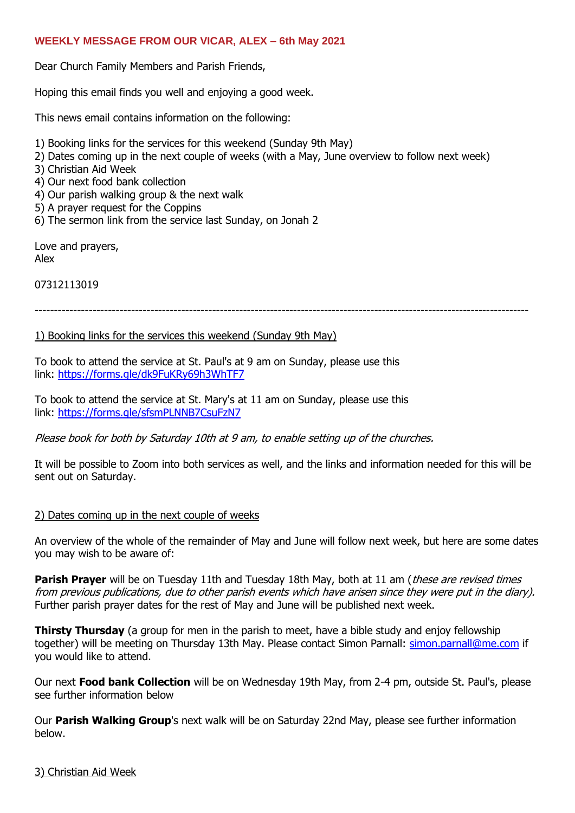#### **WEEKLY MESSAGE FROM OUR VICAR, ALEX – 6th May 2021**

Dear Church Family Members and Parish Friends,

Hoping this email finds you well and enjoying a good week.

This news email contains information on the following:

- 1) Booking links for the services for this weekend (Sunday 9th May)
- 2) Dates coming up in the next couple of weeks (with a May, June overview to follow next week)
- 3) Christian Aid Week
- 4) Our next food bank collection
- 4) Our parish walking group & the next walk
- 5) A prayer request for the Coppins
- 6) The sermon link from the service last Sunday, on Jonah 2

Love and prayers, Alex

07312113019

--------------------------------------------------------------------------------------------------------------------------------

#### 1) Booking links for the services this weekend (Sunday 9th May)

To book to attend the service at St. Paul's at 9 am on Sunday, please use this link: <https://forms.gle/dk9FuKRy69h3WhTF7>

To book to attend the service at St. Mary's at 11 am on Sunday, please use this link: <https://forms.gle/sfsmPLNNB7CsuFzN7>

Please book for both by Saturday 10th at 9 am, to enable setting up of the churches.

It will be possible to Zoom into both services as well, and the links and information needed for this will be sent out on Saturday.

#### 2) Dates coming up in the next couple of weeks

An overview of the whole of the remainder of May and June will follow next week, but here are some dates you may wish to be aware of:

**Parish Prayer** will be on Tuesday 11th and Tuesday 18th May, both at 11 am (*these are revised times* from previous publications, due to other parish events which have arisen since they were put in the diary). Further parish prayer dates for the rest of May and June will be published next week.

**Thirsty Thursday** (a group for men in the parish to meet, have a bible study and enjoy fellowship together) will be meeting on Thursday 13th May. Please contact Simon Parnall: [simon.parnall@me.com](mailto:simon.parnall@me.com) if you would like to attend.

Our next **Food bank Collection** will be on Wednesday 19th May, from 2-4 pm, outside St. Paul's, please see further information below

Our **Parish Walking Group**'s next walk will be on Saturday 22nd May, please see further information below.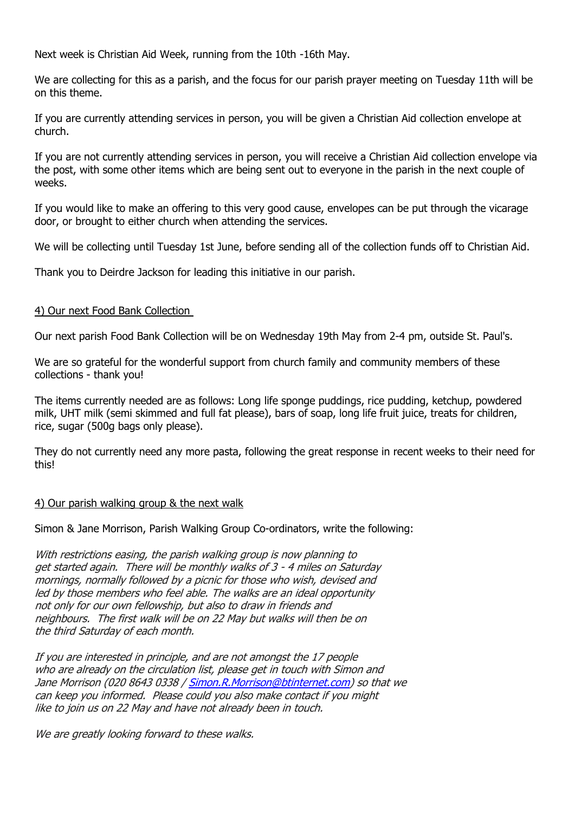Next week is Christian Aid Week, running from the 10th -16th May.

We are collecting for this as a parish, and the focus for our parish prayer meeting on Tuesday 11th will be on this theme.

If you are currently attending services in person, you will be given a Christian Aid collection envelope at church.

If you are not currently attending services in person, you will receive a Christian Aid collection envelope via the post, with some other items which are being sent out to everyone in the parish in the next couple of weeks.

If you would like to make an offering to this very good cause, envelopes can be put through the vicarage door, or brought to either church when attending the services.

We will be collecting until Tuesday 1st June, before sending all of the collection funds off to Christian Aid.

Thank you to Deirdre Jackson for leading this initiative in our parish.

## 4) Our next Food Bank Collection

Our next parish Food Bank Collection will be on Wednesday 19th May from 2-4 pm, outside St. Paul's.

We are so grateful for the wonderful support from church family and community members of these collections - thank you!

The items currently needed are as follows: Long life sponge puddings, rice pudding, ketchup, powdered milk, UHT milk (semi skimmed and full fat please), bars of soap, long life fruit juice, treats for children, rice, sugar (500g bags only please).

They do not currently need any more pasta, following the great response in recent weeks to their need for this!

## 4) Our parish walking group & the next walk

Simon & Jane Morrison, Parish Walking Group Co-ordinators, write the following:

With restrictions easing, the parish walking group is now planning to get started again. There will be monthly walks of 3 - 4 miles on Saturday mornings, normally followed by a picnic for those who wish, devised and led by those members who feel able. The walks are an ideal opportunity not only for our own fellowship, but also to draw in friends and neighbours. The first walk will be on 22 May but walks will then be on the third Saturday of each month.

If you are interested in principle, and are not amongst the 17 people who are already on the circulation list, please get in touch with Simon and Jane Morrison (020 8643 0338 [/ Simon.R.Morrison@btinternet.com\)](mailto:Simon.R.Morrison@btinternet.com) so that we can keep you informed. Please could you also make contact if you might like to join us on 22 May and have not already been in touch.

We are greatly looking forward to these walks.